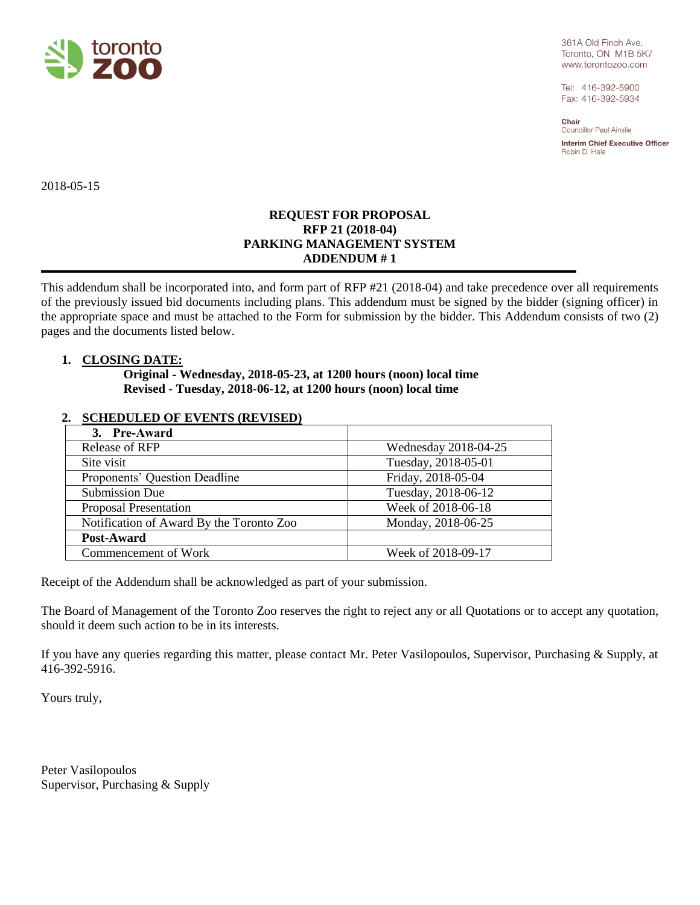

361A Old Finch Ave. Toronto, ON M1B 5K7 www.torontozoo.com

Tel: 416-392-5900 Fax: 416-392-5934

Chair **Councillor Paul Ainslie** 

**Interim Chief Executive Officer** Robin D. Hale

2018-05-15

## **REQUEST FOR PROPOSAL RFP 21 (2018-04) PARKING MANAGEMENT SYSTEM ADDENDUM # 1**

This addendum shall be incorporated into, and form part of RFP #21 (2018-04) and take precedence over all requirements of the previously issued bid documents including plans. This addendum must be signed by the bidder (signing officer) in the appropriate space and must be attached to the Form for submission by the bidder. This Addendum consists of two (2) pages and the documents listed below.

## **1. CLOSING DATE:**

**Original - Wednesday, 2018-05-23, at 1200 hours (noon) local time Revised - Tuesday, 2018-06-12, at 1200 hours (noon) local time**

## **2. SCHEDULED OF EVENTS (REVISED)**

| 3. Pre-Award                             |                      |
|------------------------------------------|----------------------|
| <b>Release of RFP</b>                    | Wednesday 2018-04-25 |
| Site visit                               | Tuesday, 2018-05-01  |
| Proponents' Question Deadline            | Friday, 2018-05-04   |
| <b>Submission Due</b>                    | Tuesday, 2018-06-12  |
| <b>Proposal Presentation</b>             | Week of 2018-06-18   |
| Notification of Award By the Toronto Zoo | Monday, 2018-06-25   |
| Post-Award                               |                      |
| Commencement of Work                     | Week of 2018-09-17   |

Receipt of the Addendum shall be acknowledged as part of your submission.

The Board of Management of the Toronto Zoo reserves the right to reject any or all Quotations or to accept any quotation, should it deem such action to be in its interests.

If you have any queries regarding this matter, please contact Mr. Peter Vasilopoulos, Supervisor, Purchasing & Supply, at 416-392-5916.

Yours truly,

Peter Vasilopoulos Supervisor, Purchasing & Supply